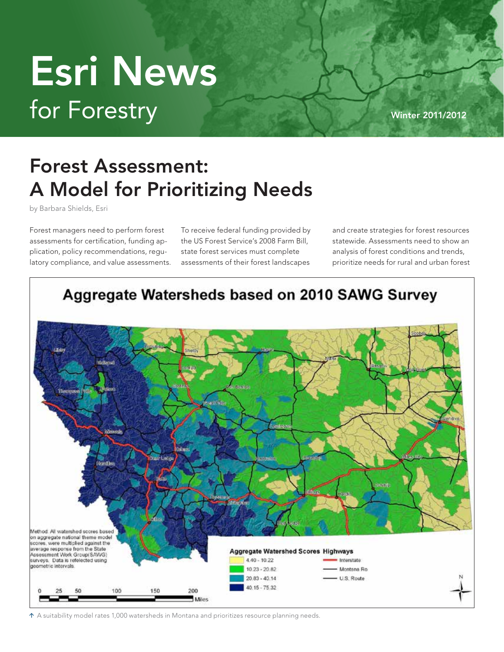## for Forestry Winter 2011/2012 Esri News

## Forest Assessment: A Model for Prioritizing Needs

by Barbara Shields, Esri

Forest managers need to perform forest assessments for certification, funding application, policy recommendations, regulatory compliance, and value assessments. To receive federal funding provided by the US Forest Service's 2008 Farm Bill, state forest services must complete assessments of their forest landscapes

and create strategies for forest resources statewide. Assessments need to show an analysis of forest conditions and trends, prioritize needs for rural and urban forest



A suitability model rates 1,000 watersheds in Montana and prioritizes resource planning needs.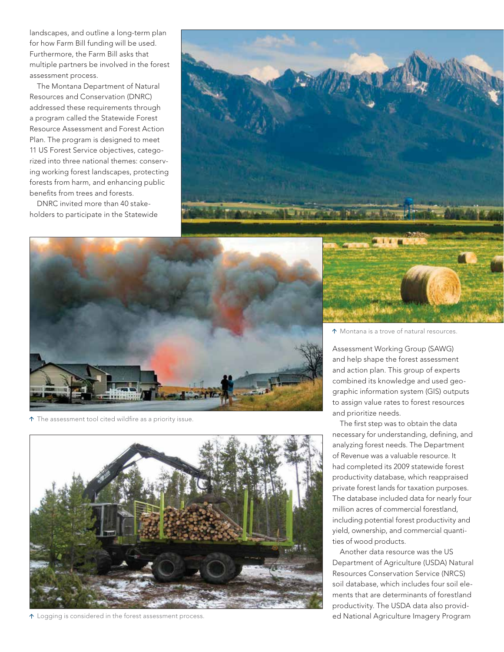landscapes, and outline a long-term plan for how Farm Bill funding will be used. Furthermore, the Farm Bill asks that multiple partners be involved in the forest assessment process.

The Montana Department of Natural Resources and Conservation (DNRC) addressed these requirements through a program called the Statewide Forest Resource Assessment and Forest Action Plan. The program is designed to meet 11 US Forest Service objectives, categorized into three national themes: conserving working forest landscapes, protecting forests from harm, and enhancing public benefits from trees and forests.

DNRC invited more than 40 stakeholders to participate in the Statewide





 $\uparrow$  The assessment tool cited wildfire as a priority issue.



 $\uparrow$  Logging is considered in the forest assessment process.

Montana is a trove of natural resources.

Assessment Working Group (SAWG) and help shape the forest assessment and action plan. This group of experts combined its knowledge and used geographic information system (GIS) outputs to assign value rates to forest resources and prioritize needs.

The first step was to obtain the data necessary for understanding, defining, and analyzing forest needs. The Department of Revenue was a valuable resource. It had completed its 2009 statewide forest productivity database, which reappraised private forest lands for taxation purposes. The database included data for nearly four million acres of commercial forestland, including potential forest productivity and yield, ownership, and commercial quantities of wood products.

Another data resource was the US Department of Agriculture (USDA) Natural Resources Conservation Service (NRCS) soil database, which includes four soil elements that are determinants of forestland productivity. The USDA data also provided National Agriculture Imagery Program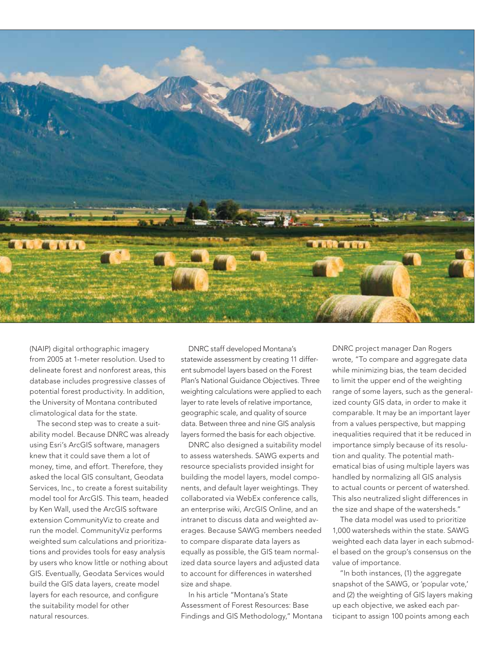

(NAIP) digital orthographic imagery from 2005 at 1-meter resolution. Used to delineate forest and nonforest areas, this database includes progressive classes of potential forest productivity. In addition, the University of Montana contributed climatological data for the state.

The second step was to create a suitability model. Because DNRC was already using Esri's ArcGIS software, managers knew that it could save them a lot of money, time, and effort. Therefore, they asked the local GIS consultant, Geodata Services, Inc., to create a forest suitability model tool for ArcGIS. This team, headed by Ken Wall, used the ArcGIS software extension CommunityViz to create and run the model. CommunityViz performs weighted sum calculations and prioritizations and provides tools for easy analysis by users who know little or nothing about GIS. Eventually, Geodata Services would build the GIS data layers, create model layers for each resource, and configure the suitability model for other natural resources.

DNRC staff developed Montana's statewide assessment by creating 11 different submodel layers based on the Forest Plan's National Guidance Objectives. Three weighting calculations were applied to each layer to rate levels of relative importance, geographic scale, and quality of source data. Between three and nine GIS analysis layers formed the basis for each objective.

DNRC also designed a suitability model to assess watersheds. SAWG experts and resource specialists provided insight for building the model layers, model components, and default layer weightings. They collaborated via WebEx conference calls, an enterprise wiki, ArcGIS Online, and an intranet to discuss data and weighted averages. Because SAWG members needed to compare disparate data layers as equally as possible, the GIS team normalized data source layers and adjusted data to account for differences in watershed size and shape.

In his article "Montana's State Assessment of Forest Resources: Base Findings and GIS Methodology," Montana DNRC project manager Dan Rogers wrote, "To compare and aggregate data while minimizing bias, the team decided to limit the upper end of the weighting range of some layers, such as the generalized county GIS data, in order to make it comparable. It may be an important layer from a values perspective, but mapping inequalities required that it be reduced in importance simply because of its resolution and quality. The potential mathematical bias of using multiple layers was handled by normalizing all GIS analysis to actual counts or percent of watershed. This also neutralized slight differences in the size and shape of the watersheds."

 The data model was used to prioritize 1,000 watersheds within the state. SAWG weighted each data layer in each submodel based on the group's consensus on the value of importance.

"In both instances, (1) the aggregate snapshot of the SAWG, or 'popular vote,' and (2) the weighting of GIS layers making up each objective, we asked each participant to assign 100 points among each